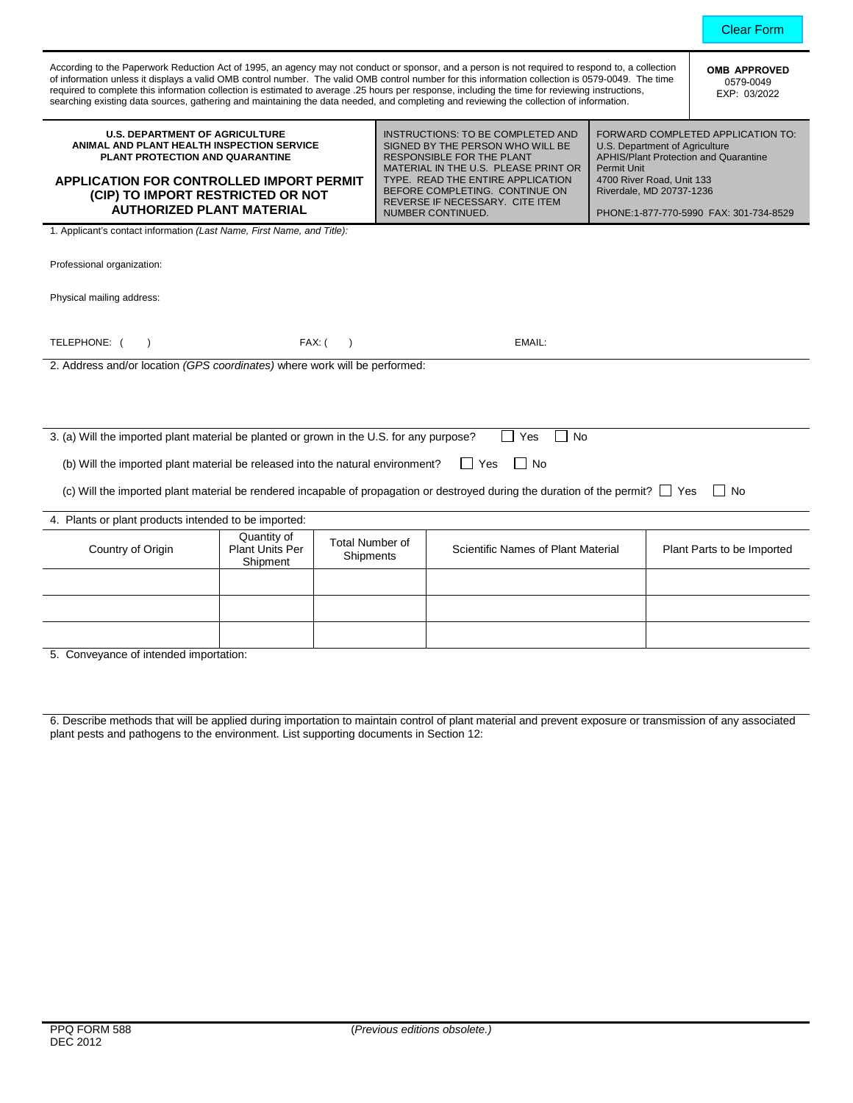| According to the Paperwork Reduction Act of 1995, an agency may not conduct or sponsor, and a person is not required to respond to, a collection<br>of information unless it displays a valid OMB control number. The valid OMB control number for this information collection is 0579-0049. The time<br>required to complete this information collection is estimated to average .25 hours per response, including the time for reviewing instructions,<br>searching existing data sources, gathering and maintaining the data needed, and completing and reviewing the collection of information. | <b>OMB APPROVED</b><br>0579-0049<br>EXP: 03/2022  |                                     |  |                                                                                                                                                                                                                                                                                  |                                                                                                                                                                                                                                              |  |        |  |  |
|-----------------------------------------------------------------------------------------------------------------------------------------------------------------------------------------------------------------------------------------------------------------------------------------------------------------------------------------------------------------------------------------------------------------------------------------------------------------------------------------------------------------------------------------------------------------------------------------------------|---------------------------------------------------|-------------------------------------|--|----------------------------------------------------------------------------------------------------------------------------------------------------------------------------------------------------------------------------------------------------------------------------------|----------------------------------------------------------------------------------------------------------------------------------------------------------------------------------------------------------------------------------------------|--|--------|--|--|
| <b>U.S. DEPARTMENT OF AGRICULTURE</b><br>ANIMAL AND PLANT HEALTH INSPECTION SERVICE<br>PLANT PROTECTION AND QUARANTINE<br><b>APPLICATION FOR CONTROLLED IMPORT PERMIT</b><br>(CIP) TO IMPORT RESTRICTED OR NOT<br><b>AUTHORIZED PLANT MATERIAL</b>                                                                                                                                                                                                                                                                                                                                                  |                                                   |                                     |  | INSTRUCTIONS: TO BE COMPLETED AND<br>SIGNED BY THE PERSON WHO WILL BE<br><b>RESPONSIBLE FOR THE PLANT</b><br>MATERIAL IN THE U.S. PLEASE PRINT OR<br>TYPE. READ THE ENTIRE APPLICATION<br>BEFORE COMPLETING. CONTINUE ON<br>REVERSE IF NECESSARY. CITE ITEM<br>NUMBER CONTINUED. | FORWARD COMPLETED APPLICATION TO:<br>U.S. Department of Agriculture<br><b>APHIS/Plant Protection and Quarantine</b><br><b>Permit Unit</b><br>4700 River Road, Unit 133<br>Riverdale, MD 20737-1236<br>PHONE:1-877-770-5990 FAX: 301-734-8529 |  |        |  |  |
| 1. Applicant's contact information (Last Name, First Name, and Title):                                                                                                                                                                                                                                                                                                                                                                                                                                                                                                                              |                                                   |                                     |  |                                                                                                                                                                                                                                                                                  |                                                                                                                                                                                                                                              |  |        |  |  |
| Professional organization:                                                                                                                                                                                                                                                                                                                                                                                                                                                                                                                                                                          |                                                   |                                     |  |                                                                                                                                                                                                                                                                                  |                                                                                                                                                                                                                                              |  |        |  |  |
| Physical mailing address:                                                                                                                                                                                                                                                                                                                                                                                                                                                                                                                                                                           |                                                   |                                     |  |                                                                                                                                                                                                                                                                                  |                                                                                                                                                                                                                                              |  |        |  |  |
|                                                                                                                                                                                                                                                                                                                                                                                                                                                                                                                                                                                                     |                                                   |                                     |  |                                                                                                                                                                                                                                                                                  |                                                                                                                                                                                                                                              |  |        |  |  |
| TELEPHONE: (<br>FAX: (<br>EMAIL:<br>$\lambda$<br>$\rightarrow$                                                                                                                                                                                                                                                                                                                                                                                                                                                                                                                                      |                                                   |                                     |  |                                                                                                                                                                                                                                                                                  |                                                                                                                                                                                                                                              |  |        |  |  |
| 2. Address and/or location (GPS coordinates) where work will be performed:                                                                                                                                                                                                                                                                                                                                                                                                                                                                                                                          |                                                   |                                     |  |                                                                                                                                                                                                                                                                                  |                                                                                                                                                                                                                                              |  |        |  |  |
|                                                                                                                                                                                                                                                                                                                                                                                                                                                                                                                                                                                                     |                                                   |                                     |  |                                                                                                                                                                                                                                                                                  |                                                                                                                                                                                                                                              |  |        |  |  |
|                                                                                                                                                                                                                                                                                                                                                                                                                                                                                                                                                                                                     |                                                   |                                     |  |                                                                                                                                                                                                                                                                                  |                                                                                                                                                                                                                                              |  |        |  |  |
|                                                                                                                                                                                                                                                                                                                                                                                                                                                                                                                                                                                                     |                                                   |                                     |  |                                                                                                                                                                                                                                                                                  |                                                                                                                                                                                                                                              |  |        |  |  |
| 3. (a) Will the imported plant material be planted or grown in the U.S. for any purpose?<br>Yes<br><b>No</b><br>$\overline{\phantom{a}}$                                                                                                                                                                                                                                                                                                                                                                                                                                                            |                                                   |                                     |  |                                                                                                                                                                                                                                                                                  |                                                                                                                                                                                                                                              |  |        |  |  |
| $\Box$ Yes<br>  No<br>(b) Will the imported plant material be released into the natural environment?                                                                                                                                                                                                                                                                                                                                                                                                                                                                                                |                                                   |                                     |  |                                                                                                                                                                                                                                                                                  |                                                                                                                                                                                                                                              |  |        |  |  |
| (c) Will the imported plant material be rendered incapable of propagation or destroyed during the duration of the permit? $\Box$ Yes                                                                                                                                                                                                                                                                                                                                                                                                                                                                |                                                   |                                     |  |                                                                                                                                                                                                                                                                                  |                                                                                                                                                                                                                                              |  |        |  |  |
|                                                                                                                                                                                                                                                                                                                                                                                                                                                                                                                                                                                                     |                                                   |                                     |  |                                                                                                                                                                                                                                                                                  |                                                                                                                                                                                                                                              |  | l I No |  |  |
| 4. Plants or plant products intended to be imported:                                                                                                                                                                                                                                                                                                                                                                                                                                                                                                                                                |                                                   |                                     |  |                                                                                                                                                                                                                                                                                  |                                                                                                                                                                                                                                              |  |        |  |  |
| Country of Origin                                                                                                                                                                                                                                                                                                                                                                                                                                                                                                                                                                                   | Quantity of<br><b>Plant Units Per</b><br>Shipment | <b>Total Number of</b><br>Shipments |  | <b>Scientific Names of Plant Material</b><br>Plant Parts to be Imported                                                                                                                                                                                                          |                                                                                                                                                                                                                                              |  |        |  |  |
|                                                                                                                                                                                                                                                                                                                                                                                                                                                                                                                                                                                                     |                                                   |                                     |  |                                                                                                                                                                                                                                                                                  |                                                                                                                                                                                                                                              |  |        |  |  |
|                                                                                                                                                                                                                                                                                                                                                                                                                                                                                                                                                                                                     |                                                   |                                     |  |                                                                                                                                                                                                                                                                                  |                                                                                                                                                                                                                                              |  |        |  |  |
|                                                                                                                                                                                                                                                                                                                                                                                                                                                                                                                                                                                                     |                                                   |                                     |  |                                                                                                                                                                                                                                                                                  |                                                                                                                                                                                                                                              |  |        |  |  |
|                                                                                                                                                                                                                                                                                                                                                                                                                                                                                                                                                                                                     |                                                   |                                     |  |                                                                                                                                                                                                                                                                                  |                                                                                                                                                                                                                                              |  |        |  |  |

Clear Form

5. Conveyance of intended importation:

6. Describe methods that will be applied during importation to maintain control of plant material and prevent exposure or transmission of any associated plant pests and pathogens to the environment. List supporting documents in Section 12: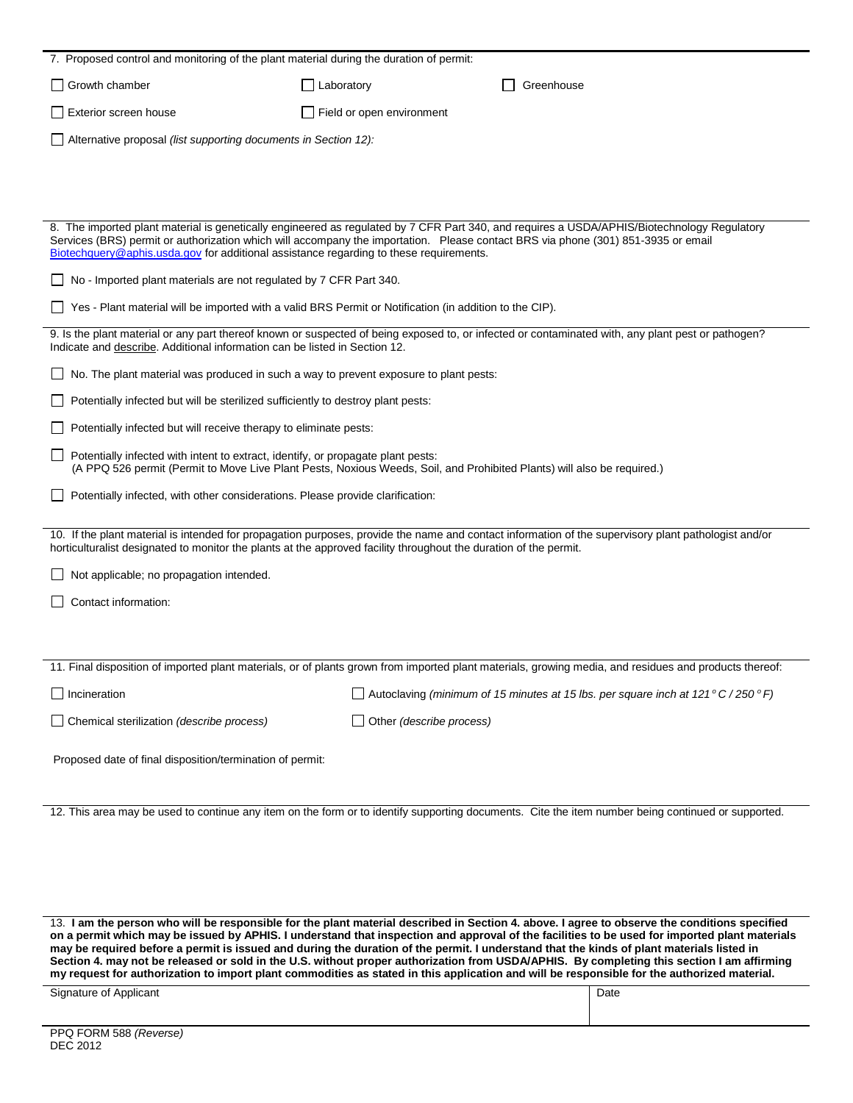| 7. Proposed control and monitoring of the plant material during the duration of permit:                                                                                                                                                                                                                                                                                    |                           |                                                                                                                                                        |  |  |  |  |  |  |
|----------------------------------------------------------------------------------------------------------------------------------------------------------------------------------------------------------------------------------------------------------------------------------------------------------------------------------------------------------------------------|---------------------------|--------------------------------------------------------------------------------------------------------------------------------------------------------|--|--|--|--|--|--|
| Growth chamber                                                                                                                                                                                                                                                                                                                                                             | Laboratory                | Greenhouse                                                                                                                                             |  |  |  |  |  |  |
| Exterior screen house                                                                                                                                                                                                                                                                                                                                                      | Field or open environment |                                                                                                                                                        |  |  |  |  |  |  |
| Alternative proposal (list supporting documents in Section 12):                                                                                                                                                                                                                                                                                                            |                           |                                                                                                                                                        |  |  |  |  |  |  |
|                                                                                                                                                                                                                                                                                                                                                                            |                           |                                                                                                                                                        |  |  |  |  |  |  |
|                                                                                                                                                                                                                                                                                                                                                                            |                           |                                                                                                                                                        |  |  |  |  |  |  |
|                                                                                                                                                                                                                                                                                                                                                                            |                           |                                                                                                                                                        |  |  |  |  |  |  |
| 8. The imported plant material is genetically engineered as regulated by 7 CFR Part 340, and requires a USDA/APHIS/Biotechnology Regulatory<br>Services (BRS) permit or authorization which will accompany the importation. Please contact BRS via phone (301) 851-3935 or email<br>Biotechquery@aphis.usda.gov for additional assistance regarding to these requirements. |                           |                                                                                                                                                        |  |  |  |  |  |  |
| No - Imported plant materials are not regulated by 7 CFR Part 340.                                                                                                                                                                                                                                                                                                         |                           |                                                                                                                                                        |  |  |  |  |  |  |
| Yes - Plant material will be imported with a valid BRS Permit or Notification (in addition to the CIP).                                                                                                                                                                                                                                                                    |                           |                                                                                                                                                        |  |  |  |  |  |  |
| 9. Is the plant material or any part thereof known or suspected of being exposed to, or infected or contaminated with, any plant pest or pathogen?<br>Indicate and describe. Additional information can be listed in Section 12.                                                                                                                                           |                           |                                                                                                                                                        |  |  |  |  |  |  |
| No. The plant material was produced in such a way to prevent exposure to plant pests:                                                                                                                                                                                                                                                                                      |                           |                                                                                                                                                        |  |  |  |  |  |  |
| Potentially infected but will be sterilized sufficiently to destroy plant pests:                                                                                                                                                                                                                                                                                           |                           |                                                                                                                                                        |  |  |  |  |  |  |
| Potentially infected but will receive therapy to eliminate pests:                                                                                                                                                                                                                                                                                                          |                           |                                                                                                                                                        |  |  |  |  |  |  |
| Potentially infected with intent to extract, identify, or propagate plant pests:<br>(A PPQ 526 permit (Permit to Move Live Plant Pests, Noxious Weeds, Soil, and Prohibited Plants) will also be required.)                                                                                                                                                                |                           |                                                                                                                                                        |  |  |  |  |  |  |
| Potentially infected, with other considerations. Please provide clarification:                                                                                                                                                                                                                                                                                             |                           |                                                                                                                                                        |  |  |  |  |  |  |
| horticulturalist designated to monitor the plants at the approved facility throughout the duration of the permit.                                                                                                                                                                                                                                                          |                           | 10. If the plant material is intended for propagation purposes, provide the name and contact information of the supervisory plant pathologist and/or   |  |  |  |  |  |  |
| Not applicable; no propagation intended.                                                                                                                                                                                                                                                                                                                                   |                           |                                                                                                                                                        |  |  |  |  |  |  |
| Contact information:                                                                                                                                                                                                                                                                                                                                                       |                           |                                                                                                                                                        |  |  |  |  |  |  |
|                                                                                                                                                                                                                                                                                                                                                                            |                           |                                                                                                                                                        |  |  |  |  |  |  |
|                                                                                                                                                                                                                                                                                                                                                                            |                           |                                                                                                                                                        |  |  |  |  |  |  |
|                                                                                                                                                                                                                                                                                                                                                                            |                           | 11. Final disposition of imported plant materials, or of plants grown from imported plant materials, growing media, and residues and products thereof: |  |  |  |  |  |  |
| $\Box$ Incineration                                                                                                                                                                                                                                                                                                                                                        |                           | $\Box$ Autoclaving (minimum of 15 minutes at 15 lbs. per square inch at 121° C / 250°F)                                                                |  |  |  |  |  |  |
| Chemical sterilization (describe process)                                                                                                                                                                                                                                                                                                                                  |                           | Other (describe process)                                                                                                                               |  |  |  |  |  |  |
| Proposed date of final disposition/termination of permit:                                                                                                                                                                                                                                                                                                                  |                           |                                                                                                                                                        |  |  |  |  |  |  |
|                                                                                                                                                                                                                                                                                                                                                                            |                           |                                                                                                                                                        |  |  |  |  |  |  |
|                                                                                                                                                                                                                                                                                                                                                                            |                           | 12. This area may be used to continue any item on the form or to identify supporting documents. Cite the item number being continued or supported.     |  |  |  |  |  |  |
|                                                                                                                                                                                                                                                                                                                                                                            |                           |                                                                                                                                                        |  |  |  |  |  |  |

13. **I am the person who will be responsible for the plant material described in Section 4. above. I agree to observe the conditions specified on a permit which may be issued by APHIS. I understand that inspection and approval of the facilities to be used for imported plant materials may be required before a permit is issued and during the duration of the permit. I understand that the kinds of plant materials listed in Section 4. may not be released or sold in the U.S. without proper authorization from USDA/APHIS. By completing this section I am affirming my request for authorization to import plant commodities as stated in this application and will be responsible for the authorized material.**

| Sianature<br>Applicant<br>$\sim$<br>. | Date |
|---------------------------------------|------|
|                                       |      |
|                                       |      |